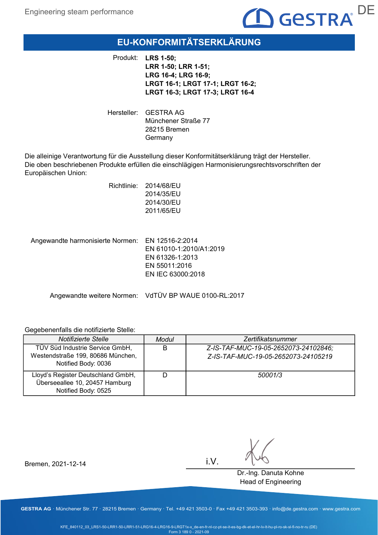

# EU-KONFORMITÄTSERKLÄRUNG

Produkt: LRS 1-50; LRR 1-50; LRR 1-51; LRG 16-4; LRG 16-9; LRGT 16-1; LRGT 17-1; LRGT 16-2; LRGT 16-3; LRGT 17-3; LRGT 16-4

Hersteller: GESTRA AG Münchener Straße 77 28215 Bremen Germany

Die alleinige Verantwortung für die Ausstellung dieser Konformitätserklärung trägt der Hersteller. Die oben beschriebenen Produkte erfüllen die einschlägigen Harmonisierungsrechtsvorschriften der Europäischen Union:

> Richtlinie: 2014/68/EU 2014/35/EU 2014/30/EU 2011/65/EU

Angewandte harmonisierte Normen: EN 12516-2:2014 EN 61010-1:2010/A1:2019 EN 61326-1:2013 EN 55011:2016 EN IEC 63000:2018

Angewandte weitere Normen: VdTÜV BP WAUE 0100-RL:2017

#### Gegebenenfalls die notifizierte Stelle:

| Notifizierte Stelle                                                                         | Modul | Zertifikatsnummer                                                           |
|---------------------------------------------------------------------------------------------|-------|-----------------------------------------------------------------------------|
| TÜV Süd Industrie Service GmbH,<br>Westendstraße 199, 80686 München,<br>Notified Body: 0036 | B     | Z-IS-TAF-MUC-19-05-2652073-24102846;<br>Z-IS-TAF-MUC-19-05-2652073-24105219 |
| Lloyd's Register Deutschland GmbH,<br>Überseeallee 10, 20457 Hamburg<br>Notified Body: 0525 |       | 50001/3                                                                     |

Bremen, 2021-12-14

i.V.

Dr.-Ing. Danuta Kohne Head of Engineering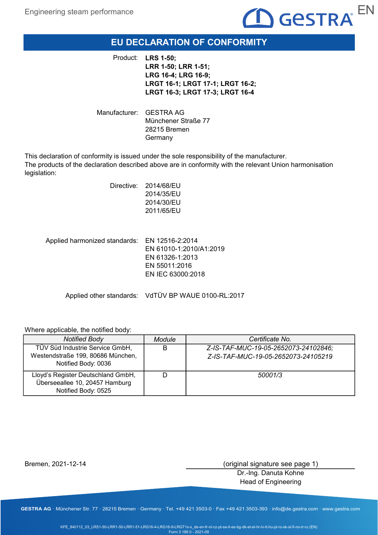

# EU DECLARATION OF CONFORMITY

Product: LRS 1-50; LRR 1-50; LRR 1-51; LRG 16-4; LRG 16-9; LRGT 16-1; LRGT 17-1; LRGT 16-2; LRGT 16-3; LRGT 17-3; LRGT 16-4

Manufacturer: GESTRA AG Münchener Straße 77 28215 Bremen Germany

This declaration of conformity is issued under the sole responsibility of the manufacturer. The products of the declaration described above are in conformity with the relevant Union harmonisation legislation:

|                                               | Directive: 2014/68/EU<br>2014/35/EU<br>2014/30/EU<br>2011/65/EU |
|-----------------------------------------------|-----------------------------------------------------------------|
| Applied harmonized standards: EN 12516-2:2014 | EN 61010-1:2010/A1                                              |

 $:2019$ EN 61326-1:2013 EN 55011:2016 EN IEC 63000:2018

Applied other standards: VdTÜV BP WAUE 0100-RL:2017

#### Where applicable, the notified body:

| <b>Notified Body</b>                                                                        | Module | Certificate No.                                                             |
|---------------------------------------------------------------------------------------------|--------|-----------------------------------------------------------------------------|
| TÜV Süd Industrie Service GmbH,<br>Westendstraße 199, 80686 München,<br>Notified Body: 0036 | B      | Z-IS-TAF-MUC-19-05-2652073-24102846;<br>Z-IS-TAF-MUC-19-05-2652073-24105219 |
| Lloyd's Register Deutschland GmbH,<br>Überseeallee 10, 20457 Hamburg<br>Notified Body: 0525 |        | 50001/3                                                                     |

Bremen, 2021-12-14

(original signature see page 1)

Dr.-Ing. Danuta Kohne Head of Engineering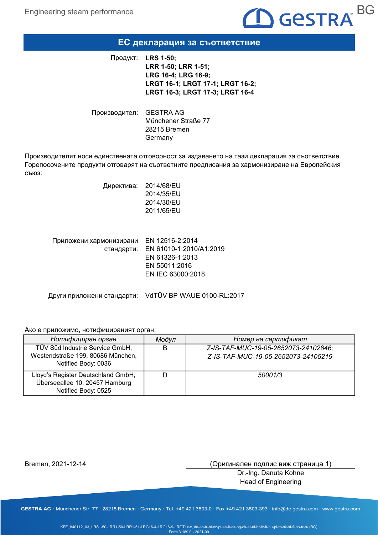

### ЕС декларация за съответствие

Продукт: LRS 1-50; LRR 1-50; LRR 1-51; LRG 16-4; LRG 16-9; LRGT 16-1; LRGT 17-1; LRGT 16-2; LRGT 16-3; LRGT 17-3; LRGT 16-4

Производител: GESTRA AG Münchener Straße 77 28215 Bremen Germany

Производителят носи единствената отговорност за издаването на тази декларация за съответствие. Горепосочените продукти отговарят на съответните предписания за хармонизиране на Европейския съюз:

> Директива: 2014/68/EU 2014/35/EU 2014/30/EU 2011/65/EU

| Приложени хармонизирани | EN 12516-2:2014                    |
|-------------------------|------------------------------------|
|                         | стандарти: EN 61010-1:2010/A1:2019 |
|                         | EN 61326-1:2013                    |
|                         | EN 55011:2016                      |
|                         | EN IEC 63000:2018                  |
|                         |                                    |

Други приложени стандарти: VdTÜV BP WAUE 0100-RL:2017

#### Ако е приложимо, нотифицираният орган:

| Нотифициран орган                                                                           | Модул | Номер на сертификат                                                         |
|---------------------------------------------------------------------------------------------|-------|-----------------------------------------------------------------------------|
| TÜV Süd Industrie Service GmbH,<br>Westendstraße 199, 80686 München,<br>Notified Body: 0036 | B     | Z-IS-TAF-MUC-19-05-2652073-24102846;<br>Z-IS-TAF-MUC-19-05-2652073-24105219 |
| Lloyd's Register Deutschland GmbH,<br>Überseeallee 10, 20457 Hamburg<br>Notified Body: 0525 |       | 50001/3                                                                     |

Bremen, 2021-12-14

(Оригинален подпис виж страница 1)

Dr.-Ing. Danuta Kohne Head of Engineering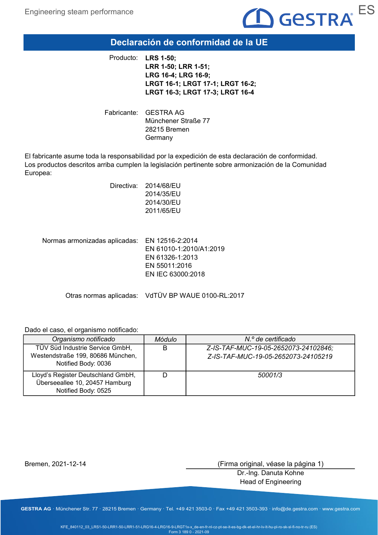

### Declaración de conformidad de la UE

Producto: LRS 1-50; LRR 1-50; LRR 1-51; LRG 16-4; LRG 16-9; LRGT 16-1; LRGT 17-1; LRGT 16-2; LRGT 16-3; LRGT 17-3; LRGT 16-4

Fabricante: GESTRA AG Münchener Straße 77 28215 Bremen Germany

El fabricante asume toda la responsabilidad por la expedición de esta declaración de conformidad. Los productos descritos arriba cumplen la legislación pertinente sobre armonización de la Comunidad Europea:

| Directiva: | 2014/68/EU |
|------------|------------|
|            | 2014/35/EU |
|            | 2014/30/EU |
|            | 2011/65/EU |
|            |            |
|            |            |

Normas armonizadas aplicadas: EN 12516-2:2014 EN 61010-1:2010/A1:2019 EN 61326-1:2013 EN 55011:2016 EN IEC 63000:2018

Otras normas aplicadas: VdTÜV BP WAUE 0100-RL:2017

Dado el caso, el organismo notificado:

| Organismo notificado                                                                        | Módulo | N.º de certificado                                                          |
|---------------------------------------------------------------------------------------------|--------|-----------------------------------------------------------------------------|
| TÜV Süd Industrie Service GmbH,<br>Westendstraße 199, 80686 München,<br>Notified Body: 0036 | В      | Z-IS-TAF-MUC-19-05-2652073-24102846;<br>Z-IS-TAF-MUC-19-05-2652073-24105219 |
| Lloyd's Register Deutschland GmbH,<br>Überseeallee 10, 20457 Hamburg<br>Notified Body: 0525 |        | 50001/3                                                                     |

Bremen, 2021-12-14

(Firma original, véase la página 1)

Dr.-Ing. Danuta Kohne Head of Engineering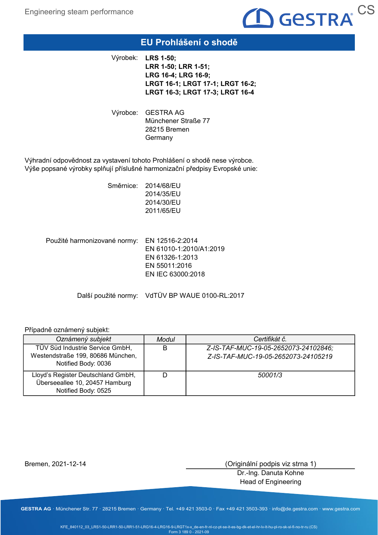

### EU Prohlášení o shodě

Výrobek: LRS 1-50; LRR 1-50; LRR 1-51; LRG 16-4; LRG 16-9; LRGT 16-1; LRGT 17-1; LRGT 16-2; LRGT 16-3; LRGT 17-3; LRGT 16-4

Výrobce: GESTRA AG Münchener Straße 77 28215 Bremen **Germany** 

Výhradní odpovědnost za vystavení tohoto Prohlášení o shodě nese výrobce. Výše popsané výrobky splňují příslušné harmonizační předpisy Evropské unie:

> Směrnice: 2014/68/EU 2014/35/EU 2014/30/EU 2011/65/EU

Použité harmonizované normy: EN 12516-2:2014 EN 61010-1:2010/A1:2019 EN 61326-1:2013 EN 55011:2016 EN IEC 63000:2018

Další použité normy: VdTÜV BP WAUE 0100-RL:2017

#### Případně oznámený subjekt:

| Oznámený subjekt                                                                            | Modul | Certifikát č.                                                               |
|---------------------------------------------------------------------------------------------|-------|-----------------------------------------------------------------------------|
| TÜV Süd Industrie Service GmbH,<br>Westendstraße 199, 80686 München,<br>Notified Body: 0036 | B     | Z-IS-TAF-MUC-19-05-2652073-24102846;<br>Z-IS-TAF-MUC-19-05-2652073-24105219 |
| Lloyd's Register Deutschland GmbH,<br>Überseeallee 10, 20457 Hamburg<br>Notified Body: 0525 |       | 50001/3                                                                     |

Bremen, 2021-12-14

(Originální podpis viz strna 1)

Dr.-Ing. Danuta Kohne Head of Engineering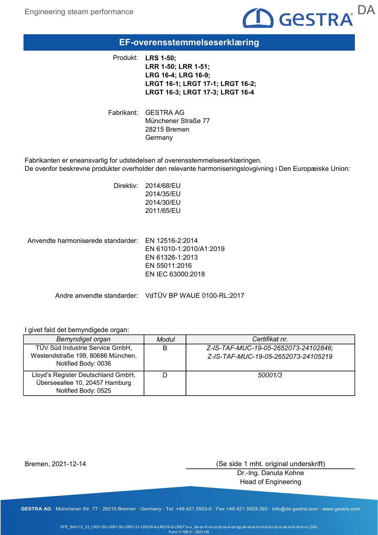

### EF-overensstemmelseserklæring

Produkt: LRS 1-50; LRR 1-50; LRR 1-51; LRG 16-4; LRG 16-9; LRGT 16-1; LRGT 17-1; LRGT 16-2; LRGT 16-3; LRGT 17-3; LRGT 16-4

Fabrikant: GESTRA AG Münchener Straße 77 28215 Bremen Germany

Fabrikanten er eneansvarlig for udstedelsen af overensstemmelseserklæringen. De ovenfor beskrevne produkter overholder den relevante harmoniseringslovgivning i Den Europæiske Union:

> Direktiv: 2014/68/EU 2014/35/EU 2014/30/EU 2011/65/EU

Anvendte harmoniserede standarder: EN 12516-2:2014 EN 61010-1:2010/A1:2019 EN 61326-1:2013 EN 55011:2016 EN IEC 63000:2018

Andre anvendte standarder: VdTÜV BP WAUE 0100-RL:2017

#### I givet fald det bemyndigede organ:

| Bemyndiget organ                                                                            | Modul | Certifikat nr.                                                              |
|---------------------------------------------------------------------------------------------|-------|-----------------------------------------------------------------------------|
| TÜV Süd Industrie Service GmbH,<br>Westendstraße 199, 80686 München,<br>Notified Body: 0036 | B     | Z-IS-TAF-MUC-19-05-2652073-24102846:<br>Z-IS-TAF-MUC-19-05-2652073-24105219 |
| Lloyd's Register Deutschland GmbH,<br>Überseeallee 10, 20457 Hamburg<br>Notified Body: 0525 |       | 50001/3                                                                     |

Bremen, 2021-12-14

(Se side 1 mht. original underskrift)

Dr.-Ing. Danuta Kohne Head of Engineering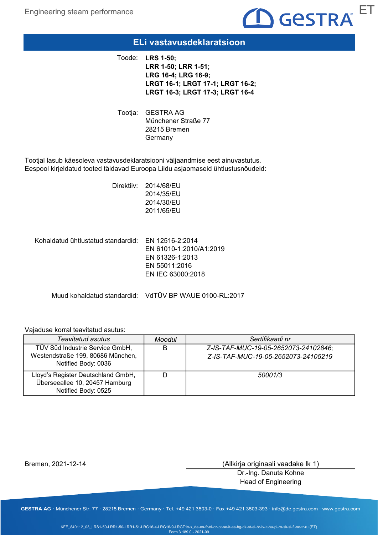

### ELi vastavusdeklaratsioon

Toode: LRS 1-50; LRR 1-50; LRR 1-51; LRG 16-4; LRG 16-9; LRGT 16-1; LRGT 17-1; LRGT 16-2; LRGT 16-3; LRGT 17-3; LRGT 16-4

Tootja: GESTRA AG Münchener Straße 77 28215 Bremen **Germany** 

Tootjal lasub käesoleva vastavusdeklaratsiooni väljaandmise eest ainuvastutus. Eespool kirjeldatud tooted täidavad Euroopa Liidu asjaomaseid ühtlustusnõudeid:

> Direktiiv: 2014/68/EU 2014/35/EU 2014/30/EU 2011/65/EU

Kohaldatud ühtlustatud standardid: EN 12516-2:2014 EN 61010-1:2010/A1:2019 EN 61326-1:2013 EN 55011:2016 EN IEC 63000:2018

Muud kohaldatud standardid: VdTÜV BP WAUE 0100-RL:2017

#### Vajaduse korral teavitatud asutus:

| Teavitatud asutus                                                                           | Moodul | Sertifikaadi nr                                                             |
|---------------------------------------------------------------------------------------------|--------|-----------------------------------------------------------------------------|
| TÜV Süd Industrie Service GmbH,<br>Westendstraße 199, 80686 München,<br>Notified Body: 0036 | В      | Z-IS-TAF-MUC-19-05-2652073-24102846;<br>Z-IS-TAF-MUC-19-05-2652073-24105219 |
| Lloyd's Register Deutschland GmbH,<br>Überseeallee 10, 20457 Hamburg<br>Notified Body: 0525 |        | 50001/3                                                                     |

Bremen, 2021-12-14

(Allkirja originaali vaadake lk 1)

Dr.-Ing. Danuta Kohne Head of Engineering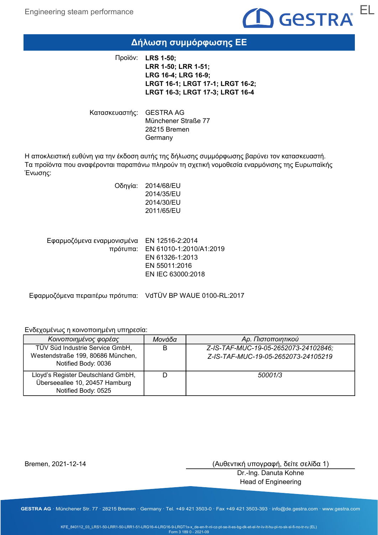

# Δήλωση συμμόρφωσης ΕΕ

Προϊόν: LRS 1-50; LRR 1-50; LRR 1-51; LRG 16-4; LRG 16-9; LRGT 16-1; LRGT 17-1; LRGT 16-2; LRGT 16-3; LRGT 17-3; LRGT 16-4

Κατασκευαστής: GESTRA AG Münchener Straße 77 28215 Bremen Germany

Η αποκλειστική ευθύνη για την έκδοση αυτής της δήλωσης συμμόρφωσης βαρύνει τον κατασκευαστή. Τα προϊόντα που αναφέρονται παραπάνω πληρούν τη σχετική νομοθεσία εναρμόνισης της Ευρωπαϊκής Ένωσης:

> Οδηγία: 2014/68/EU 2014/35/EU 2014/30/EU 2011/65/EU

Εφαρμοζόμενα εναρμονισμένα ΕΝ 12516-2:2014 EN 61010-1:2010/A1:2019 πρότυπα: EN 61326-1:2013 EN 55011:2016 EN IEC 63000:2018

Εφαρμοζόμενα περαιτέρω πρότυπα: VdTÜV BP WAUE 0100-RL:2017

Ενδεχομένως η κοινοποιημένη υπηρεσία:

| Κοινοποιημένος φορέας                                                                       | Μονάδα | Αρ. Πιστοποιητικού                                                          |
|---------------------------------------------------------------------------------------------|--------|-----------------------------------------------------------------------------|
| TÜV Süd Industrie Service GmbH,<br>Westendstraße 199, 80686 München,<br>Notified Body: 0036 | B      | Z-IS-TAF-MUC-19-05-2652073-24102846;<br>Z-IS-TAF-MUC-19-05-2652073-24105219 |
| Lloyd's Register Deutschland GmbH,<br>Überseeallee 10, 20457 Hamburg<br>Notified Body: 0525 |        | 50001/3                                                                     |

Bremen, 2021-12-14

(Αυθεντική υπογραφή, δείτε σελίδα 1)

Dr.-Ing. Danuta Kohne Head of Engineering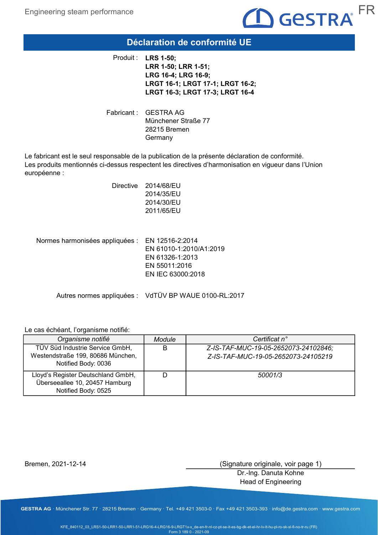

### Déclaration de conformité UE

Produit : LRS 1-50; LRR 1-50; LRR 1-51; LRG 16-4; LRG 16-9; LRGT 16-1; LRGT 17-1; LRGT 16-2; LRGT 16-3; LRGT 17-3; LRGT 16-4

Fabricant : GESTRA AG Münchener Straße 77 28215 Bremen **Germany** 

Le fabricant est le seul responsable de la publication de la présente déclaration de conformité. Les produits mentionnés ci-dessus respectent les directives d'harmonisation en vigueur dans l'Union européenne :

| Directive | 2014/68/EU |
|-----------|------------|
|           | 2014/35/EU |
|           | 2014/30/EU |
|           | 2011/65/EU |
|           |            |

| Normes harmonisées appliquées : EN 12516-2:2014 |                         |
|-------------------------------------------------|-------------------------|
|                                                 | EN 61010-1:2010/A1:2019 |
|                                                 | EN 61326-1:2013         |
|                                                 | EN 55011:2016           |
|                                                 | EN IEC 63000:2018       |
|                                                 |                         |

Autres normes appliquées : VdTÜV BP WAUE 0100-RL:2017

#### Le cas échéant, l'organisme notifié:

| Organisme notifié                                                                           | <b>Module</b> | Certificat n°                                                               |
|---------------------------------------------------------------------------------------------|---------------|-----------------------------------------------------------------------------|
| TÜV Süd Industrie Service GmbH,<br>Westendstraße 199, 80686 München,<br>Notified Body: 0036 | В             | Z-IS-TAF-MUC-19-05-2652073-24102846;<br>Z-IS-TAF-MUC-19-05-2652073-24105219 |
| Lloyd's Register Deutschland GmbH,<br>Überseeallee 10, 20457 Hamburg<br>Notified Body: 0525 |               | 50001/3                                                                     |

Bremen, 2021-12-14

(Signature originale, voir page 1)

Dr.-Ing. Danuta Kohne Head of Engineering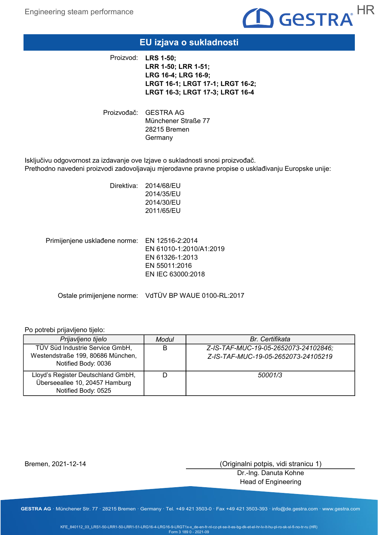

### EU izjava o sukladnosti

Proizvod: LRS 1-50; LRR 1-50; LRR 1-51; LRG 16-4; LRG 16-9; LRGT 16-1; LRGT 17-1; LRGT 16-2; LRGT 16-3; LRGT 17-3; LRGT 16-4

Proizvođač: GESTRA AG Münchener Straße 77 28215 Bremen **Germany** 

Isključivu odgovornost za izdavanje ove Izjave o sukladnosti snosi proizvođač. Prethodno navedeni proizvodi zadovoljavaju mjerodavne pravne propise o usklađivanju Europske unije:

> Direktiva: 2014/68/EU 2014/35/EU 2014/30/EU 2011/65/EU

Primijenjene usklađene norme: EN 12516-2:2014 EN 61010-1:2010/A1:2019 EN 61326-1:2013 EN 55011:2016 EN IEC 63000:2018

Ostale primijenjene norme: VdTÜV BP WAUE 0100-RL:2017

#### Po potrebi prijavljeno tijelo:

| Prijavljeno tijelo                                                                          | Modul | <b>Br.</b> Certifikata                                                      |
|---------------------------------------------------------------------------------------------|-------|-----------------------------------------------------------------------------|
| TÜV Süd Industrie Service GmbH,<br>Westendstraße 199, 80686 München,<br>Notified Body: 0036 | В     | Z-IS-TAF-MUC-19-05-2652073-24102846;<br>Z-IS-TAF-MUC-19-05-2652073-24105219 |
| Lloyd's Register Deutschland GmbH,<br>Überseeallee 10, 20457 Hamburg<br>Notified Body: 0525 |       | 50001/3                                                                     |

Bremen, 2021-12-14

(Originalni potpis, vidi stranicu 1)

Dr.-Ing. Danuta Kohne Head of Engineering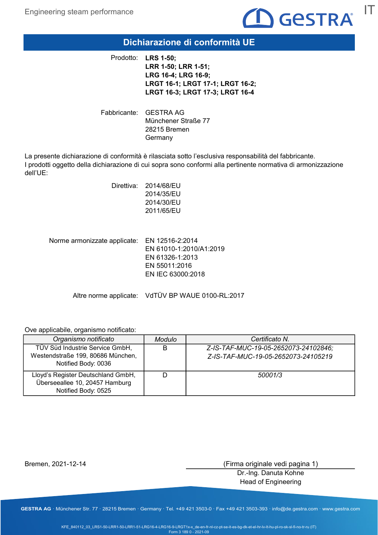

### Dichiarazione di conformità UE

Prodotto: LRS 1-50; LRR 1-50; LRR 1-51; LRG 16-4; LRG 16-9; LRGT 16-1; LRGT 17-1; LRGT 16-2; LRGT 16-3; LRGT 17-3; LRGT 16-4

Fabbricante: GESTRA AG Münchener Straße 77 28215 Bremen Germany

La presente dichiarazione di conformità è rilasciata sotto l'esclusiva responsabilità del fabbricante. I prodotti oggetto della dichiarazione di cui sopra sono conformi alla pertinente normativa di armonizzazione dell'UE:

| Direttiva: | 2014/68/EU<br>2014/35/EU<br>2014/30/EU<br>2011/65/EU |
|------------|------------------------------------------------------|
|            |                                                      |

Norme armonizzate applicate: EN 12516-2:2014 EN 61010-1:2010/A1:2019 EN 61326-1:2013 EN 55011:2016 EN IEC 63000:2018

Altre norme applicate: VdTÜV BP WAUE 0100-RL:2017

Ove applicabile, organismo notificato:

| Organismo notificato                                                                        | <b>Modulo</b> | Certificato N.                                                              |
|---------------------------------------------------------------------------------------------|---------------|-----------------------------------------------------------------------------|
| TÜV Süd Industrie Service GmbH,<br>Westendstraße 199, 80686 München,<br>Notified Body: 0036 | B             | Z-IS-TAF-MUC-19-05-2652073-24102846;<br>Z-IS-TAF-MUC-19-05-2652073-24105219 |
| Lloyd's Register Deutschland GmbH,<br>Überseeallee 10, 20457 Hamburg<br>Notified Body: 0525 |               | 50001/3                                                                     |

Bremen, 2021-12-14

(Firma originale vedi pagina 1)

Dr.-Ing. Danuta Kohne Head of Engineering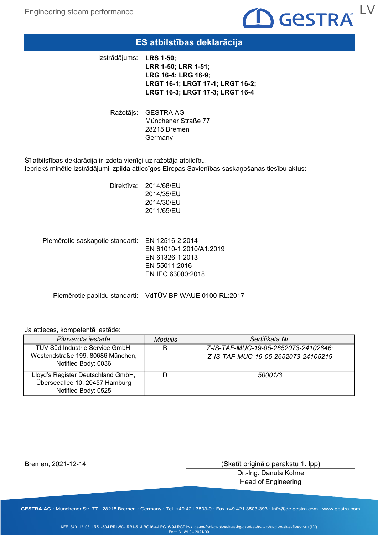

### ES atbilstības deklarācija

Izstrādājums: LRS 1-50;

LRR 1-50; LRR 1-51; LRG 16-4; LRG 16-9; LRGT 16-1; LRGT 17-1; LRGT 16-2; LRGT 16-3; LRGT 17-3; LRGT 16-4

Ražotājs: GESTRA AG Münchener Straße 77 28215 Bremen **Germany** 

Šī atbilstības deklarācija ir izdota vienīgi uz ražotāja atbildību. Iepriekš minētie izstrādājumi izpilda attiecīgos Eiropas Savienības saskaņošanas tiesību aktus:

> Direktīva: 2014/68/EU 2014/35/EU 2014/30/EU 2011/65/EU

Piemērotie saskaņotie standarti: EN 12516-2:2014 EN 61010-1:2010/A1:2019 EN 61326-1:2013 EN 55011:2016 EN IEC 63000:2018

Piemērotie papildu standarti: VdTÜV BP WAUE 0100-RL:2017

#### Ja attiecas, kompetentā iestāde:

| Pilnvarotā iestāde                                                                          | <b>Modulis</b> | Sertifikāta Nr.                                                             |
|---------------------------------------------------------------------------------------------|----------------|-----------------------------------------------------------------------------|
| TÜV Süd Industrie Service GmbH,<br>Westendstraße 199, 80686 München,<br>Notified Body: 0036 | B              | Z-IS-TAF-MUC-19-05-2652073-24102846;<br>Z-IS-TAF-MUC-19-05-2652073-24105219 |
| Lloyd's Register Deutschland GmbH,<br>Überseeallee 10, 20457 Hamburg<br>Notified Body: 0525 |                | 50001/3                                                                     |

Bremen, 2021-12-14

(Skatīt oriģinālo parakstu 1. lpp)

Dr.-Ing. Danuta Kohne Head of Engineering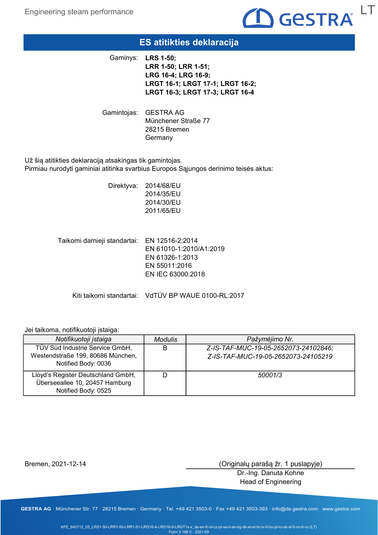

### ES atitikties deklaracija

Gaminys: **LRS 1-50;** LRR 1-50; LRR 1-51; LRG 16-4; LRG 16-9; LRGT 16-1; LRGT 17-1; LRGT 16-2; LRGT 16-3; LRGT 17-3; LRGT 16-4

Gamintojas: GESTRA AG Münchener Straße 77 28215 Bremen **Germany** 

Už šią atitikties deklaraciją atsakingas tik gamintojas. Pirmiau nurodyti gaminiai atitinka svarbius Europos Sąjungos derinimo teisės aktus:

> Direktyva: 2014/68/EU 2014/35/EU 2014/30/EU 2011/65/EU

Taikomi darnieji standartai: EN 12516-2:2014 EN 61010-1:2010/A1:2019 EN 61326-1:2013 EN 55011:2016 EN IEC 63000:2018

Kiti taikomi standartai: VdTÜV BP WAUE 0100-RL:2017

#### Jei taikoma, notifikuotoji įstaiga:

| Notifikuotoji įstaiga                                                                       | <b>Modulis</b> | Pažymėjimo Nr.                                                              |
|---------------------------------------------------------------------------------------------|----------------|-----------------------------------------------------------------------------|
| TÜV Süd Industrie Service GmbH,<br>Westendstraße 199, 80686 München,<br>Notified Body: 0036 | B              | Z-IS-TAF-MUC-19-05-2652073-24102846;<br>Z-IS-TAF-MUC-19-05-2652073-24105219 |
| Lloyd's Register Deutschland GmbH,<br>Überseeallee 10, 20457 Hamburg<br>Notified Body: 0525 |                | 50001/3                                                                     |

Bremen, 2021-12-14

(Originalų parašą žr. 1 puslapyje)

Dr.-Ing. Danuta Kohne Head of Engineering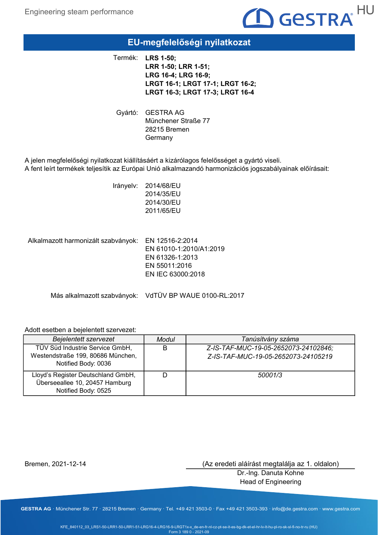

### EU-megfelelőségi nyilatkozat

Termék: LRS 1-50; LRR 1-50; LRR 1-51; LRG 16-4; LRG 16-9; LRGT 16-1; LRGT 17-1; LRGT 16-2; LRGT 16-3; LRGT 17-3; LRGT 16-4

Gyártó: GESTRA AG Münchener Straße 77 28215 Bremen **Germany** 

A jelen megfelelőségi nyilatkozat kiállításáért a kizárólagos felelősséget a gyártó viseli. A fent leírt termékek teljesítik az Európai Unió alkalmazandó harmonizációs jogszabályainak előírásait:

> Irányelv: 2014/68/EU 2014/35/EU 2014/30/EU 2011/65/EU

Alkalmazott harmonizált szabványok: EN 12516-2:2014 EN 61010-1:2010/A1:2019 EN 61326-1:2013 EN 55011:2016 EN IEC 63000:2018

Más alkalmazott szabványok: VdTÜV BP WAUE 0100-RL:2017

#### Adott esetben a bejelentett szervezet:

| Bejelentett szervezet                                                                       | Modul | Tanúsítvány száma                                                           |
|---------------------------------------------------------------------------------------------|-------|-----------------------------------------------------------------------------|
| TÜV Süd Industrie Service GmbH,<br>Westendstraße 199, 80686 München,<br>Notified Body: 0036 | B     | Z-IS-TAF-MUC-19-05-2652073-24102846;<br>Z-IS-TAF-MUC-19-05-2652073-24105219 |
| Lloyd's Register Deutschland GmbH,<br>Überseeallee 10, 20457 Hamburg<br>Notified Body: 0525 |       | 50001/3                                                                     |

Bremen, 2021-12-14

(Az eredeti aláírást megtalálja az 1. oldalon)

Dr.-Ing. Danuta Kohne Head of Engineering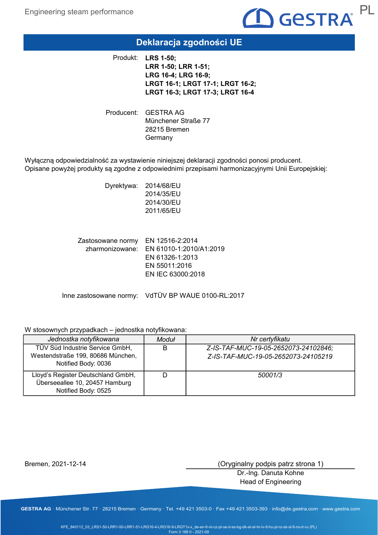

### Deklaracja zgodności UE

Produkt: LRS 1-50; LRR 1-50; LRR 1-51; LRG 16-4; LRG 16-9; LRGT 16-1; LRGT 17-1; LRGT 16-2; LRGT 16-3; LRGT 17-3; LRGT 16-4

Producent: GESTRA AG Münchener Straße 77 28215 Bremen Germany

Wyłączną odpowiedzialność za wystawienie niniejszej deklaracji zgodności ponosi producent. Opisane powyżej produkty są zgodne z odpowiednimi przepisami harmonizacyjnymi Unii Europejskiej:

> Dyrektywa: 2014/68/EU 2014/35/EU 2014/30/EU 2011/65/EU

Zastosowane normy EN 12516-2:2014 zharmonizowane: EN 61010-1:2010/A1:2019 EN 61326-1:2013 EN 55011:2016 EN IEC 63000:2018

Inne zastosowane normy: VdTÜV BP WAUE 0100-RL:2017

#### W stosownych przypadkach – jednostka notyfikowana:

| Jednostka notyfikowana                                                                      | Moduł | Nr certyfikatu                                                              |
|---------------------------------------------------------------------------------------------|-------|-----------------------------------------------------------------------------|
| TÜV Süd Industrie Service GmbH,<br>Westendstraße 199, 80686 München,<br>Notified Body: 0036 | B     | Z-IS-TAF-MUC-19-05-2652073-24102846;<br>Z-IS-TAF-MUC-19-05-2652073-24105219 |
| Lloyd's Register Deutschland GmbH,<br>Überseeallee 10, 20457 Hamburg<br>Notified Body: 0525 |       | 50001/3                                                                     |

Bremen, 2021-12-14

(Oryginalny podpis patrz strona 1)

Dr.-Ing. Danuta Kohne Head of Engineering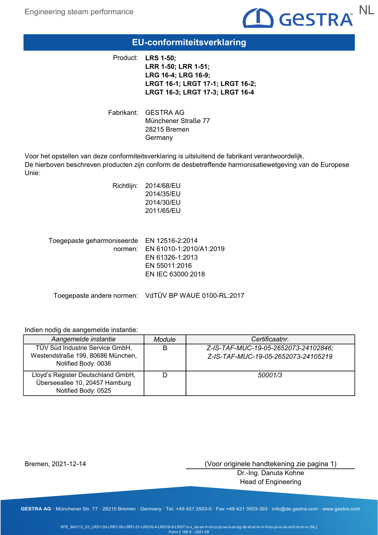

### EU-conformiteitsverklaring

Product: LRS 1-50; LRR 1-50; LRR 1-51; LRG 16-4; LRG 16-9; LRGT 16-1; LRGT 17-1; LRGT 16-2; LRGT 16-3; LRGT 17-3; LRGT 16-4

Fabrikant: GESTRA AG Münchener Straße 77 28215 Bremen Germany

Voor het opstellen van deze conformiteitsverklaring is uitsluitend de fabrikant verantwoordelijk. De hierboven beschreven producten zijn conform de desbetreffende harmonisatiewetgeving van de Europese Unie:

| Richtlijn: | 2014/68/EU |
|------------|------------|
|            | 2014/35/EU |
|            | 2014/30/EU |
|            | 2011/65/EU |
|            |            |
|            |            |

| Toegepaste geharmoniseerde EN 12516-2:2014 |                                 |
|--------------------------------------------|---------------------------------|
|                                            | normen: EN 61010-1:2010/A1:2019 |
|                                            | EN 61326-1:2013                 |
|                                            | EN 55011:2016                   |
|                                            | EN IEC 63000:2018               |
|                                            |                                 |

Toegepaste andere normen: VdTÜV BP WAUE 0100-RL:2017

#### Indien nodig de aangemelde instantie:

| Aangemelde instantie                                                                        | Module | Certificaatnr.                                                              |
|---------------------------------------------------------------------------------------------|--------|-----------------------------------------------------------------------------|
| TÜV Süd Industrie Service GmbH,<br>Westendstraße 199, 80686 München,<br>Notified Body: 0036 | B      | Z-IS-TAF-MUC-19-05-2652073-24102846;<br>Z-IS-TAF-MUC-19-05-2652073-24105219 |
| Lloyd's Register Deutschland GmbH,<br>Überseeallee 10, 20457 Hamburg<br>Notified Body: 0525 |        | 50001/3                                                                     |

Bremen, 2021-12-14

(Voor originele handtekening zie pagina 1)

Dr.-Ing. Danuta Kohne Head of Engineering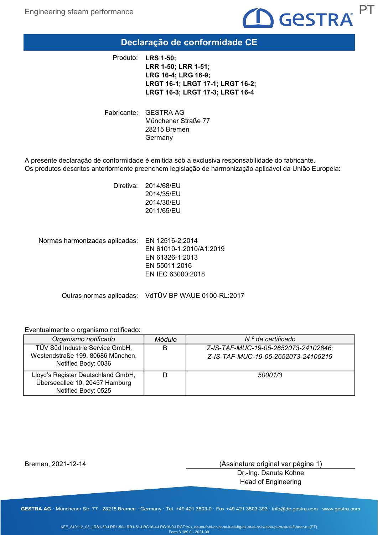

# Declaração de conformidade CE

Produto: LRS 1-50; LRR 1-50; LRR 1-51; LRG 16-4; LRG 16-9; LRGT 16-1; LRGT 17-1; LRGT 16-2; LRGT 16-3; LRGT 17-3; LRGT 16-4

Fabricante: GESTRA AG Münchener Straße 77 28215 Bremen Germany

A presente declaração de conformidade é emitida sob a exclusiva responsabilidade do fabricante. Os produtos descritos anteriormente preenchem legislação de harmonização aplicável da União Europeia:

> Diretiva: 2014/68/EU 2014/35/EU 2014/30/EU 2011/65/EU

Normas harmonizadas aplicadas: EN 12516-2:2014 EN 61010-1:2010/A1:2019 EN 61326-1:2013 EN 55011:2016 EN IEC 63000:2018

Outras normas aplicadas: VdTÜV BP WAUE 0100-RL:2017

#### Eventualmente o organismo notificado:

| Organismo notificado                                                                        | Módulo | N.º de certificado                                                          |
|---------------------------------------------------------------------------------------------|--------|-----------------------------------------------------------------------------|
| TÜV Süd Industrie Service GmbH,<br>Westendstraße 199, 80686 München,<br>Notified Body: 0036 | B      | Z-IS-TAF-MUC-19-05-2652073-24102846;<br>Z-IS-TAF-MUC-19-05-2652073-24105219 |
| Lloyd's Register Deutschland GmbH,<br>Überseeallee 10, 20457 Hamburg<br>Notified Body: 0525 |        | 50001/3                                                                     |

Bremen, 2021-12-14

(Assinatura original ver página 1)

Dr.-Ing. Danuta Kohne Head of Engineering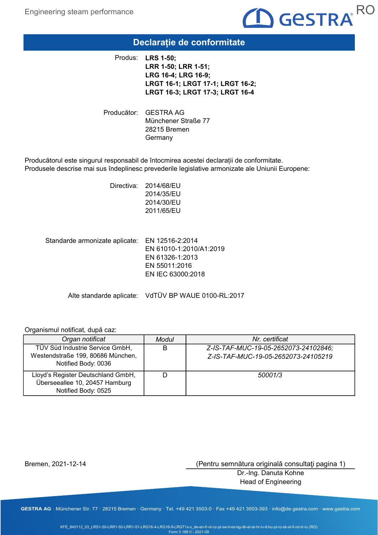

### Declarație de conformitate

Produs: LRS 1-50; LRR 1-50; LRR 1-51; LRG 16-4; LRG 16-9; LRGT 16-1; LRGT 17-1; LRGT 16-2; LRGT 16-3; LRGT 17-3; LRGT 16-4

Producător: GESTRA AG Münchener Straße 77 28215 Bremen Germany

Producătorul este singurul responsabil de întocmirea acestei declarații de conformitate. Produsele descrise mai sus îndeplinesc prevederile legislative armonizate ale Uniunii Europene:

> Directiva: 2014/68/EU 2014/35/EU 2014/30/EU 2011/65/EU

Standarde armonizate aplicate: EN 12516-2:2014 EN 61010-1:2010/A1:2019 EN 61326-1:2013 EN 55011:2016 EN IEC 63000:2018

Alte standarde aplicate: VdTÜV BP WAUE 0100-RL:2017

#### Organismul notificat, după caz:

| Organ notificat                                                                             | Modul | Nr. certificat                                                              |
|---------------------------------------------------------------------------------------------|-------|-----------------------------------------------------------------------------|
| TÜV Süd Industrie Service GmbH,<br>Westendstraße 199, 80686 München,<br>Notified Body: 0036 | B     | Z-IS-TAF-MUC-19-05-2652073-24102846;<br>Z-IS-TAF-MUC-19-05-2652073-24105219 |
| Lloyd's Register Deutschland GmbH,<br>Überseeallee 10, 20457 Hamburg<br>Notified Body: 0525 |       | 50001/3                                                                     |

Bremen, 2021-12-14

(Pentru semnătura originală consultaţi pagina 1)

Dr.-Ing. Danuta Kohne Head of Engineering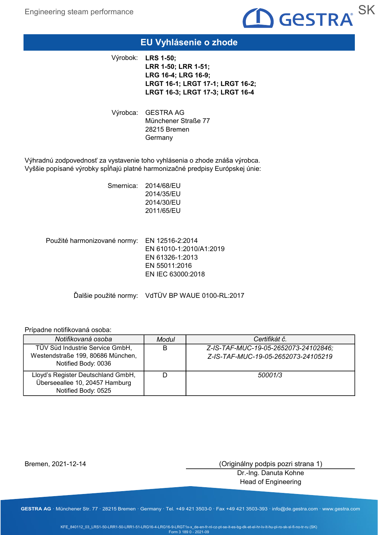

### EU Vyhlásenie o zhode

Výrobok: LRS 1-50; LRR 1-50; LRR 1-51; LRG 16-4; LRG 16-9; LRGT 16-1; LRGT 17-1; LRGT 16-2; LRGT 16-3; LRGT 17-3; LRGT 16-4

Výrobca: GESTRA AG Münchener Straße 77 28215 Bremen Germany

Výhradnú zodpovednosť za vystavenie toho vyhlásenia o zhode znáša výrobca. Vyššie popísané výrobky spĺňajú platné harmonizačné predpisy Európskej únie:

> Smernica: 2014/68/EU 2014/35/EU 2014/30/EU 2011/65/EU

Použité harmonizované normy: EN 12516-2:2014 EN 61010-1:2010/A1:2019 EN 61326-1:2013 EN 55011:2016 EN IEC 63000:2018

Ďalšie použité normy: VdTÜV BP WAUE 0100-RL:2017

#### Prípadne notifikovaná osoba:

| Notifikovaná osoba                                                                          | Modul | Certifikát č.                                                               |
|---------------------------------------------------------------------------------------------|-------|-----------------------------------------------------------------------------|
| TÜV Süd Industrie Service GmbH,<br>Westendstraße 199, 80686 München,<br>Notified Body: 0036 | B     | Z-IS-TAF-MUC-19-05-2652073-24102846;<br>Z-IS-TAF-MUC-19-05-2652073-24105219 |
| Lloyd's Register Deutschland GmbH,<br>Überseeallee 10, 20457 Hamburg<br>Notified Body: 0525 |       | 50001/3                                                                     |

Bremen, 2021-12-14

(Originálny podpis pozri strana 1)

Dr.-Ing. Danuta Kohne Head of Engineering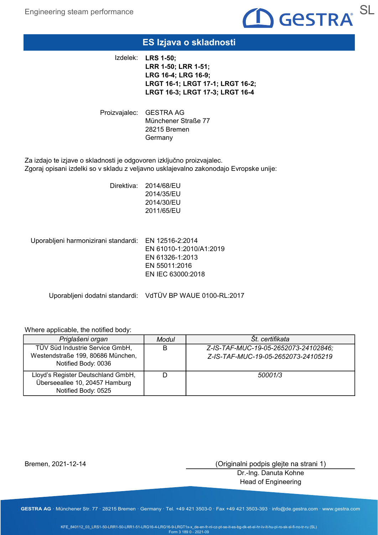

### ES Izjava o skladnosti

Izdelek: LRS 1-50; LRR 1-50; LRR 1-51; LRG 16-4; LRG 16-9; LRGT 16-1; LRGT 17-1; LRGT 16-2; LRGT 16-3; LRGT 17-3; LRGT 16-4

Proizvajalec: GESTRA AG Münchener Straße 77 28215 Bremen **Germany** 

Za izdajo te izjave o skladnosti je odgovoren izključno proizvajalec. Zgoraj opisani izdelki so v skladu z veljavno usklajevalno zakonodajo Evropske unije:

> Direktiva: 2014/68/EU 2014/35/EU 2014/30/EU 2011/65/EU

Uporabljeni harmonizirani standardi: EN 12516-2:2014

EN 61010-1:2010/A1:2019 EN 61326-1:2013 EN 55011:2016 EN IEC 63000:2018

Uporabljeni dodatni standardi: VdTÜV BP WAUE 0100-RL:2017

#### Where applicable, the notified body:

| Priglašeni organ                                                                            | Modul | St. certifikata                                                             |
|---------------------------------------------------------------------------------------------|-------|-----------------------------------------------------------------------------|
| TÜV Süd Industrie Service GmbH,<br>Westendstraße 199, 80686 München,<br>Notified Body: 0036 | B     | Z-IS-TAF-MUC-19-05-2652073-24102846;<br>Z-IS-TAF-MUC-19-05-2652073-24105219 |
| Lloyd's Register Deutschland GmbH,<br>Überseeallee 10, 20457 Hamburg<br>Notified Body: 0525 |       | 50001/3                                                                     |

Bremen, 2021-12-14

(Originalni podpis glejte na strani 1)

Dr.-Ing. Danuta Kohne Head of Engineering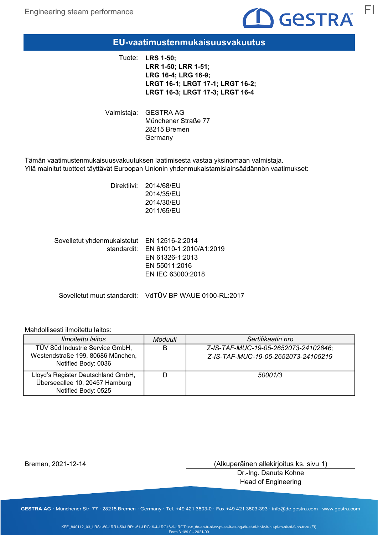

### EU-vaatimustenmukaisuusvakuutus

Tuote: LRS 1-50; LRR 1-50; LRR 1-51; LRG 16-4; LRG 16-9; LRGT 16-1; LRGT 17-1; LRGT 16-2; LRGT 16-3; LRGT 17-3; LRGT 16-4

Valmistaja: GESTRA AG Münchener Straße 77 28215 Bremen Germany

Tämän vaatimustenmukaisuusvakuutuksen laatimisesta vastaa yksinomaan valmistaja. Yllä mainitut tuotteet täyttävät Euroopan Unionin yhdenmukaistamislainsäädännön vaatimukset:

> Direktiivi: 2014/68/EU 2014/35/EU 2014/30/EU 2011/65/EU

Sovelletut yhdenmukaistetut EN 12516-2:2014 standardit: EN 61010-1:2010/A1:2019 EN 61326-1:2013 EN 55011:2016 EN IEC 63000:2018

Sovelletut muut standardit: VdTÜV BP WAUE 0100-RL:2017

#### Mahdollisesti ilmoitettu laitos:

| <i>Ilmoitettu laitos</i>                                                                    | Moduuli | Sertifikaatin nro                                                           |
|---------------------------------------------------------------------------------------------|---------|-----------------------------------------------------------------------------|
| TÜV Süd Industrie Service GmbH,<br>Westendstraße 199, 80686 München,<br>Notified Body: 0036 | B       | Z-IS-TAF-MUC-19-05-2652073-24102846;<br>Z-IS-TAF-MUC-19-05-2652073-24105219 |
| Lloyd's Register Deutschland GmbH,<br>Überseeallee 10, 20457 Hamburg<br>Notified Body: 0525 |         | 50001/3                                                                     |

Bremen, 2021-12-14

(Alkuperäinen allekirjoitus ks. sivu 1)

Dr.-Ing. Danuta Kohne Head of Engineering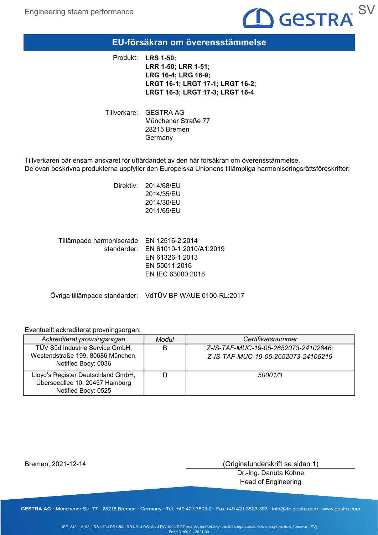

### EU-försäkran om överensstämmelse

Produkt: LRS 1-50; LRR 1-50; LRR 1-51; LRG 16-4; LRG 16-9; LRGT 16-1; LRGT 17-1; LRGT 16-2; LRGT 16-3; LRGT 17-3; LRGT 16-4

Tillverkare: GESTRA AG Münchener Straße 77 28215 Bremen Germany

Tillverkaren bär ensam ansvaret för utfärdandet av den här försäkran om överensstämmelse. De ovan beskrivna produkterna uppfyller den Europeiska Unionens tillämpliga harmoniseringsrättsföreskrifter:

> Direktiv: 2014/68/EU 2014/35/EU 2014/30/EU 2011/65/EU

Tillämpade harmoniserade EN 12516-2:2014 standarder: EN 61010-1:2010/A1:2019 EN 61326-1:2013 EN 55011:2016 EN IEC 63000:2018

Övriga tillämpade standarder: VdTÜV BP WAUE 0100-RL:2017

#### Eventuellt ackrediterat provningsorgan:

| Ackrediterat provningsorgan                                                                 | Modul | Certifikatsnummer                                                           |
|---------------------------------------------------------------------------------------------|-------|-----------------------------------------------------------------------------|
| TÜV Süd Industrie Service GmbH,<br>Westendstraße 199, 80686 München,<br>Notified Body: 0036 | B     | Z-IS-TAF-MUC-19-05-2652073-24102846;<br>Z-IS-TAF-MUC-19-05-2652073-24105219 |
| Lloyd's Register Deutschland GmbH,<br>Überseeallee 10, 20457 Hamburg<br>Notified Body: 0525 |       | 50001/3                                                                     |

Bremen, 2021-12-14

(Originalunderskrift se sidan 1)

Dr.-Ing. Danuta Kohne Head of Engineering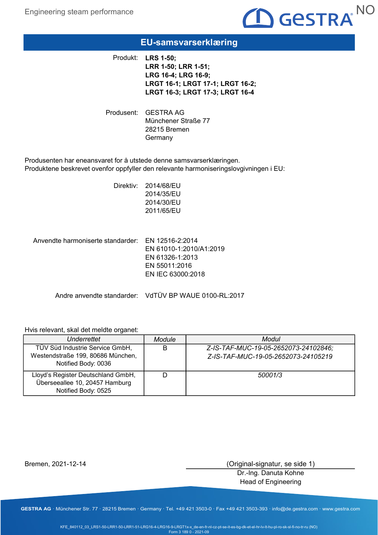

### EU-samsvarserklæring

Produkt: LRS 1-50; LRR 1-50; LRR 1-51; LRG 16-4; LRG 16-9; LRGT 16-1; LRGT 17-1; LRGT 16-2; LRGT 16-3; LRGT 17-3; LRGT 16-4

Produsent: GESTRA AG Münchener Straße 77 28215 Bremen **Germany** 

Produsenten har eneansvaret for å utstede denne samsvarserklæringen. Produktene beskrevet ovenfor oppfyller den relevante harmoniseringslovgivningen i EU:

> Direktiv: 2014/68/EU 2014/35/EU 2014/30/EU 2011/65/EU

Anvendte harmoniserte standarder: EN 12516-2:2014 EN 61010-1:2010/A1:2019 EN 61326-1:2013 EN 55011:2016 EN IEC 63000:2018

Andre anvendte standarder: VdTÜV BP WAUE 0100-RL:2017

#### Hvis relevant, skal det meldte organet:

| Underrettet                                                                                 | Module | Modul                                                                       |
|---------------------------------------------------------------------------------------------|--------|-----------------------------------------------------------------------------|
| TÜV Süd Industrie Service GmbH,<br>Westendstraße 199, 80686 München,<br>Notified Body: 0036 | B      | Z-IS-TAF-MUC-19-05-2652073-24102846;<br>Z-IS-TAF-MUC-19-05-2652073-24105219 |
| Lloyd's Register Deutschland GmbH,<br>Überseeallee 10, 20457 Hamburg<br>Notified Body: 0525 |        | 50001/3                                                                     |

Bremen, 2021-12-14

(Original-signatur, se side 1)

Dr.-Ing. Danuta Kohne Head of Engineering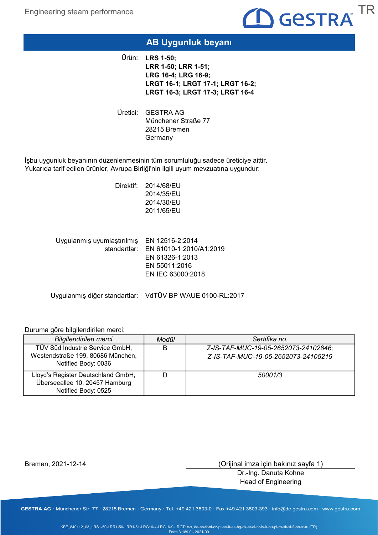

### AB Uygunluk beyanı

Ürün: **LRS 1-50;** LRR 1-50; LRR 1-51; LRG 16-4; LRG 16-9; LRGT 16-1; LRGT 17-1; LRGT 16-2; LRGT 16-3; LRGT 17-3; LRGT 16-4

Üretici: GESTRA AG Münchener Straße 77 28215 Bremen Germany

İşbu uygunluk beyanının düzenlenmesinin tüm sorumluluğu sadece üreticiye aittir. Yukarıda tarif edilen ürünler, Avrupa Birliği'nin ilgili uyum mevzuatına uygundur:

> Direktif: 2014/68/EU 2014/35/EU 2014/30/EU 2011/65/EU

Uygulanmış uyumlaştırılmış EN 12516-2:2014 standartlar: EN 61010-1:2010/A1:2019 EN 61326-1:2013 EN 55011:2016 EN IEC 63000:2018

Uygulanmış diğer standartlar: VdTÜV BP WAUE 0100-RL:2017

#### Duruma göre bilgilendirilen merci:

| <b>Bilgilendirilen merci</b>                                                                | Modül | Sertifika no.                                                               |
|---------------------------------------------------------------------------------------------|-------|-----------------------------------------------------------------------------|
| TÜV Süd Industrie Service GmbH,<br>Westendstraße 199, 80686 München,<br>Notified Body: 0036 | В     | Z-IS-TAF-MUC-19-05-2652073-24102846;<br>Z-IS-TAF-MUC-19-05-2652073-24105219 |
| Lloyd's Register Deutschland GmbH,<br>Überseeallee 10, 20457 Hamburg<br>Notified Body: 0525 |       | 50001/3                                                                     |

Bremen, 2021-12-14

(Orijinal imza için bakınız sayfa 1)

Dr.-Ing. Danuta Kohne Head of Engineering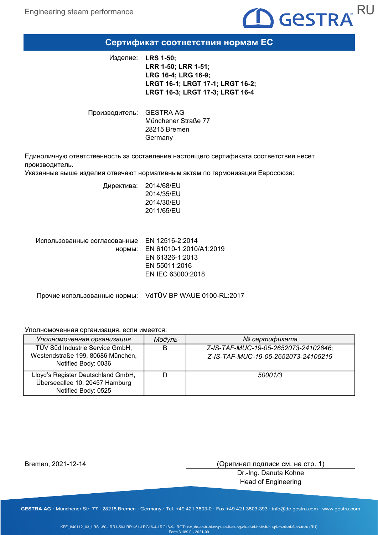

### Сертификат соответствия нормам ЕС

Изделие: LRS 1-50; LRR 1-50; LRR 1-51; LRG 16-4; LRG 16-9; LRGT 16-1; LRGT 17-1; LRGT 16-2; LRGT 16-3; LRGT 17-3; LRGT 16-4

Производитель: GESTRA AG Münchener Straße 77 28215 Bremen Germany

Единоличную ответственность за составление настоящего сертификата соответствия несет производитель.

Указанные выше изделия отвечают нормативным актам по гармонизации Евросоюза:

Директива: 2014/68/EU 2014/35/EU 2014/30/EU 2011/65/EU

Использованные согласованные EN 12516-2:2014 нормы: EN 61010-1:2010/A1:2019 EN 61326-1:2013 EN 55011:2016 EN IEC 63000:2018

Прочие использованные нормы: VdTÜV BP WAUE 0100-RL:2017

#### Уполномоченная организация, если имеется:

| Уполномоченная организация                                                                  | Модуль | № сертификата                                                               |
|---------------------------------------------------------------------------------------------|--------|-----------------------------------------------------------------------------|
| TÜV Süd Industrie Service GmbH,<br>Westendstraße 199, 80686 München,<br>Notified Body: 0036 | B      | Z-IS-TAF-MUC-19-05-2652073-24102846;<br>Z-IS-TAF-MUC-19-05-2652073-24105219 |
| Lloyd's Register Deutschland GmbH,<br>Überseeallee 10, 20457 Hamburg<br>Notified Body: 0525 |        | 50001/3                                                                     |

Bremen, 2021-12-14

(Оригинал подписи см. на стр. 1)

Dr.-Ing. Danuta Kohne Head of Engineering